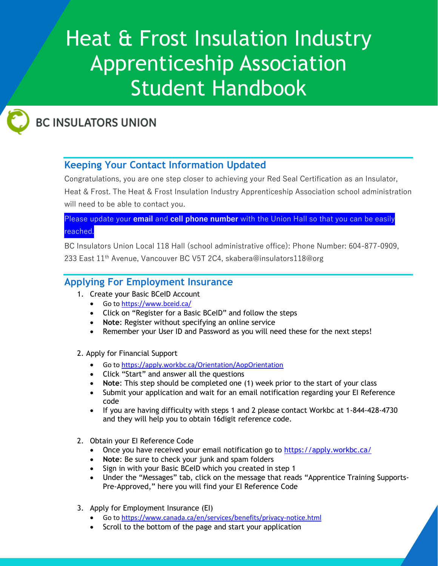# Heat & Frost Insulation Industry Apprenticeship Association Student Handbook



# **BC INSULATORS UNION**

# **Keeping Your Contact Information Updated**

Congratulations, you are one step closer to achieving your Red Seal Certification as an Insulator,

Heat & Frost. The Heat & Frost Insulation Industry Apprenticeship Association school administration will need to be able to contact you.

#### Please update your **email** and **cell phone number** with the Union Hall so that you can be easily reached.

BC Insulators Union Local 118 Hall (school administrative office): Phone Number: 604-877-0909, 233 East 11th Avenue, Vancouver BC V5T 2C4, skabera@insulators118@org

## **Applying For Employment Insurance**

- 1. Create your Basic BCeID Account
	- Go to<https://www.bceid.ca/>
	- Click on "Register for a Basic BCeID" and follow the steps
	- **Note**: Register without specifying an online service
	- Remember your User ID and Password as you will need these for the next steps!
- 2. Apply for Financial Support
	- Go to<https://apply.workbc.ca/Orientation/AopOrientation>
	- Click "Start" and answer all the questions
	- **Note**: This step should be completed one (1) week prior to the start of your class
	- Submit your application and wait for an email notification regarding your EI Reference code
	- If you are having difficulty with steps 1 and 2 please contact Workbc at 1-844-428-4730 and they will help you to obtain 16digit reference code.
- 2. Obtain your EI Reference Code
	- Once you have received your email notification go to<https://apply.workbc.ca/>
	- **Note**: Be sure to check your junk and spam folders
	- Sign in with your Basic BCeID which you created in step 1
	- Under the "Messages" tab, click on the message that reads "Apprentice Training Supports-Pre-Approved," here you will find your EI Reference Code
- 3. Apply for Employment Insurance (EI)
	- Go to<https://www.canada.ca/en/services/benefits/privacy-notice.html>
	- Scroll to the bottom of the page and start your application